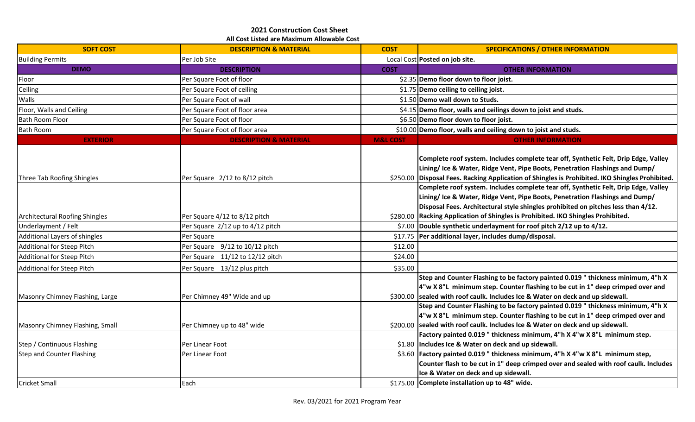## **All Cost Listed are Maximum Allowable Cost 2021 Construction Cost Sheet**

| <b>SOFT COST</b>                      | <b>DESCRIPTION &amp; MATERIAL</b> | <b>COST</b>         | <b>SPECIFICATIONS / OTHER INFORMATION</b>                                                                                                                                                                                                                                                                                                    |
|---------------------------------------|-----------------------------------|---------------------|----------------------------------------------------------------------------------------------------------------------------------------------------------------------------------------------------------------------------------------------------------------------------------------------------------------------------------------------|
| <b>Building Permits</b>               | Per Job Site                      |                     | Local Cost Posted on job site.                                                                                                                                                                                                                                                                                                               |
| <b>DEMO</b>                           | <b>DESCRIPTION</b>                | <b>COST</b>         | <b>OTHER INFORMATION</b>                                                                                                                                                                                                                                                                                                                     |
| Floor                                 | Per Square Foot of floor          |                     | \$2.35 Demo floor down to floor joist.                                                                                                                                                                                                                                                                                                       |
| Ceiling                               | Per Square Foot of ceiling        |                     | \$1.75 Demo ceiling to ceiling joist.                                                                                                                                                                                                                                                                                                        |
| Walls                                 | Per Square Foot of wall           |                     | \$1.50 Demo wall down to Studs.                                                                                                                                                                                                                                                                                                              |
| Floor, Walls and Ceiling              | Per Square Foot of floor area     |                     | \$4.15 Demo floor, walls and ceilings down to joist and studs.                                                                                                                                                                                                                                                                               |
| <b>Bath Room Floor</b>                | Per Square Foot of floor          |                     | \$6.50 Demo floor down to floor joist.                                                                                                                                                                                                                                                                                                       |
| <b>Bath Room</b>                      | Per Square Foot of floor area     |                     | \$10.00 Demo floor, walls and ceiling down to joist and studs.                                                                                                                                                                                                                                                                               |
| <b>EXTERIOR</b>                       | <b>DESCRIPTION &amp; MATERIAL</b> | <b>M&amp;L COST</b> | <b>OTHER INFORMATION</b>                                                                                                                                                                                                                                                                                                                     |
| Three Tab Roofing Shingles            | Per Square 2/12 to 8/12 pitch     |                     | Complete roof system. Includes complete tear off, Synthetic Felt, Drip Edge, Valley<br>Lining/ Ice & Water, Ridge Vent, Pipe Boots, Penetration Flashings and Dump/<br>\$250.00 Disposal Fees. Racking Application of Shingles is Prohibited. IKO Shingles Prohibited.                                                                       |
| <b>Architectural Roofing Shingles</b> | Per Square 4/12 to 8/12 pitch     |                     | Complete roof system. Includes complete tear off, Synthetic Felt, Drip Edge, Valley<br>Lining/ Ice & Water, Ridge Vent, Pipe Boots, Penetration Flashings and Dump/<br>Disposal Fees. Architectural style shingles prohibited on pitches less than 4/12.<br>\$280.00 Racking Application of Shingles is Prohibited. IKO Shingles Prohibited. |
| Underlayment / Felt                   | Per Square 2/12 up to 4/12 pitch  |                     | \$7.00 Double synthetic underlayment for roof pitch 2/12 up to 4/12.                                                                                                                                                                                                                                                                         |
| Additional Layers of shingles         | Per Square                        | \$17.75             | Per additional layer, includes dump/disposal.                                                                                                                                                                                                                                                                                                |
| Additional for Steep Pitch            | Per Square 9/12 to 10/12 pitch    | \$12.00             |                                                                                                                                                                                                                                                                                                                                              |
| Additional for Steep Pitch            | Per Square 11/12 to 12/12 pitch   | \$24.00             |                                                                                                                                                                                                                                                                                                                                              |
| Additional for Steep Pitch            | Per Square 13/12 plus pitch       | \$35.00             |                                                                                                                                                                                                                                                                                                                                              |
| Masonry Chimney Flashing, Large       | Per Chimney 49" Wide and up       |                     | Step and Counter Flashing to be factory painted 0.019 " thickness minimum, 4"h X<br>4"w X 8"L minimum step. Counter flashing to be cut in 1" deep crimped over and<br>\$300.00 sealed with roof caulk. Includes Ice & Water on deck and up sidewall.                                                                                         |
| Masonry Chimney Flashing, Small       | Per Chimney up to 48" wide        |                     | Step and Counter Flashing to be factory painted 0.019 " thickness minimum, 4"h X<br>4"w X 8"L minimum step. Counter flashing to be cut in 1" deep crimped over and<br>\$200.00 sealed with roof caulk. Includes Ice & Water on deck and up sidewall.                                                                                         |
| Step / Continuous Flashing            | Per Linear Foot                   |                     | Factory painted 0.019 " thickness minimum, 4"h X 4"w X 8"L minimum step.<br>\$1.80 Includes Ice & Water on deck and up sidewall.                                                                                                                                                                                                             |
| Step and Counter Flashing             | Per Linear Foot                   |                     | \$3.60 Factory painted 0.019 " thickness minimum, 4"h X 4"w X 8"L minimum step,<br>Counter flash to be cut in 1" deep crimped over and sealed with roof caulk. Includes<br>Ice & Water on deck and up sidewall.                                                                                                                              |
| <b>Cricket Small</b>                  | Each                              |                     | \$175.00 Complete installation up to 48" wide.                                                                                                                                                                                                                                                                                               |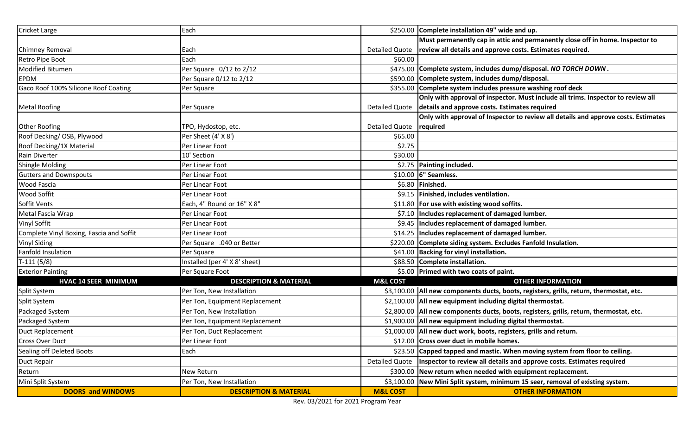| Cricket Large                            | Each                              |                           | \$250.00 Complete installation 49" wide and up.                                           |
|------------------------------------------|-----------------------------------|---------------------------|-------------------------------------------------------------------------------------------|
|                                          |                                   |                           | Must permanently cap in attic and permanently close off in home. Inspector to             |
| <b>Chimney Removal</b>                   | Each                              | Detailed Quote            | review all details and approve costs. Estimates required.                                 |
| Retro Pipe Boot                          | Each                              | \$60.00                   |                                                                                           |
| Modified Bitumen                         | Per Square 0/12 to 2/12           |                           | \$475.00 Complete system, includes dump/disposal. NO TORCH DOWN.                          |
| <b>EPDM</b>                              | Per Square 0/12 to 2/12           |                           | \$590.00 Complete system, includes dump/disposal.                                         |
| Gaco Roof 100% Silicone Roof Coating     | Per Square                        |                           | \$355.00 Complete system includes pressure washing roof deck                              |
|                                          |                                   |                           | Only with approval of inspector. Must include all trims. Inspector to review all          |
| <b>Metal Roofing</b>                     | Per Square                        |                           | Detailed Quote   details and approve costs. Estimates required                            |
|                                          |                                   |                           | Only with approval of Inspector to review all details and approve costs. Estimates        |
| <b>Other Roofing</b>                     | TPO, Hydostop, etc.               | Detailed Quote   required |                                                                                           |
| Roof Decking/OSB, Plywood                | Per Sheet (4' X 8')               | \$65.00                   |                                                                                           |
| Roof Decking/1X Material                 | Per Linear Foot                   | \$2.75                    |                                                                                           |
| Rain Diverter                            | 10' Section                       | \$30.00                   |                                                                                           |
| <b>Shingle Molding</b>                   | Per Linear Foot                   |                           | \$2.75 Painting included.                                                                 |
| <b>Gutters and Downspouts</b>            | Per Linear Foot                   |                           | \$10.00 6" Seamless.                                                                      |
| <b>Wood Fascia</b>                       | Per Linear Foot                   |                           | \$6.80 Finished.                                                                          |
| <b>Wood Soffit</b>                       | Per Linear Foot                   |                           | \$9.15   Finished, includes ventilation.                                                  |
| Soffit Vents                             | Each, 4" Round or 16" X 8"        |                           | \$11.80 For use with existing wood soffits.                                               |
| Metal Fascia Wrap                        | Per Linear Foot                   |                           | \$7.10 Includes replacement of damaged lumber.                                            |
| <b>Vinyl Soffit</b>                      | Per Linear Foot                   |                           | \$9.45 Includes replacement of damaged lumber.                                            |
| Complete Vinyl Boxing, Fascia and Soffit | Per Linear Foot                   |                           | \$14.25   Includes replacement of damaged lumber.                                         |
| <b>Vinyl Siding</b>                      | Per Square .040 or Better         |                           | \$220.00 Complete siding system. Excludes Fanfold Insulation.                             |
| Fanfold Insulation                       | Per Square                        |                           | \$41.00 Backing for vinyl installation.                                                   |
| $T-111(5/8)$                             | Installed (per 4' X 8' sheet)     |                           | \$88.50 Complete installation.                                                            |
| <b>Exterior Painting</b>                 | Per Square Foot                   |                           | \$5.00 Primed with two coats of paint.                                                    |
| <b>HVAC 14 SEER MINIMUM</b>              | <b>DESCRIPTION &amp; MATERIAL</b> | <b>M&amp;L COST</b>       | <b>OTHER INFORMATION</b>                                                                  |
| Split System                             | Per Ton, New Installation         |                           | \$3,100.00   All new components ducts, boots, registers, grills, return, thermostat, etc. |
| Split System                             | Per Ton, Equipment Replacement    |                           | \$2,100.00 All new equipment including digital thermostat.                                |
| Packaged System                          | Per Ton, New Installation         |                           | \$2,800.00   All new components ducts, boots, registers, grills, return, thermostat, etc. |
| Packaged System                          | Per Ton, Equipment Replacement    |                           | \$1,900.00 All new equipment including digital thermostat.                                |
| Duct Replacement                         | Per Ton, Duct Replacement         |                           | \$1,000.00 All new duct work, boots, registers, grills and return.                        |
| <b>Cross Over Duct</b>                   | Per Linear Foot                   |                           | \$12.00 Cross over duct in mobile homes.                                                  |
| Sealing off Deleted Boots                | Each                              |                           | \$23.50 Capped tapped and mastic. When moving system from floor to ceiling.               |
| Duct Repair                              |                                   |                           | Detailed Quote   Inspector to review all details and approve costs. Estimates required    |
| Return                                   | New Return                        |                           | \$300.00 New return when needed with equipment replacement.                               |
| Mini Split System                        | Per Ton, New Installation         |                           | \$3,100.00 New Mini Split system, minimum 15 seer, removal of existing system.            |
| <b>DOORS and WINDOWS</b>                 | <b>DESCRIPTION &amp; MATERIAL</b> | <b>M&amp;L COST</b>       | <b>OTHER INFORMATION</b>                                                                  |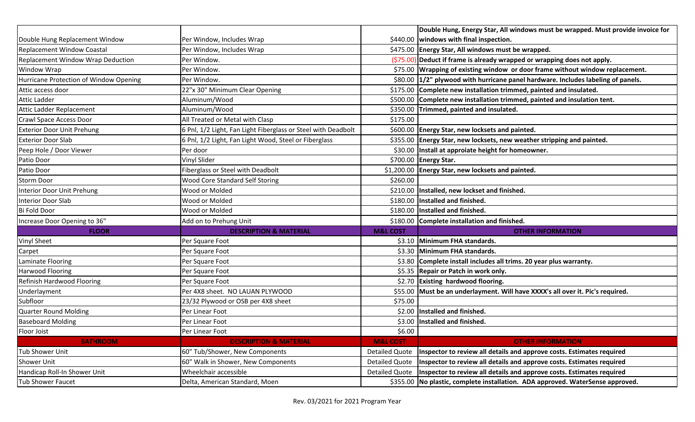|                                        |                                                               |                       | Double Hung, Energy Star, All windows must be wrapped. Must provide invoice for    |
|----------------------------------------|---------------------------------------------------------------|-----------------------|------------------------------------------------------------------------------------|
| Double Hung Replacement Window         | Per Window, Includes Wrap                                     |                       | \$440.00 windows with final inspection.                                            |
| <b>Replacement Window Coastal</b>      | Per Window, Includes Wrap                                     |                       | \$475.00 Energy Star, All windows must be wrapped.                                 |
| Replacement Window Wrap Deduction      | Per Window.                                                   |                       | $(\frac{275.00}{P}$ Deduct if frame is already wrapped or wrapping does not apply. |
| <b>Window Wrap</b>                     | Per Window.                                                   |                       | \$75.00 Wrapping of existing window or door frame without window replacement.      |
| Hurricane Protection of Window Opening | Per Window.                                                   |                       | \$80.00 1/2" plywood with hurricane panel hardware. Includes labeling of panels.   |
| Attic access door                      | 22"x 30" Minimum Clear Opening                                |                       | \$175.00 Complete new installation trimmed, painted and insulated.                 |
| <b>Attic Ladder</b>                    | Aluminum/Wood                                                 |                       | \$500.00 Complete new installation trimmed, painted and insulation tent.           |
| Attic Ladder Replacement               | Aluminum/Wood                                                 |                       | \$350.00 Trimmed, painted and insulated.                                           |
| Crawl Space Access Door                | All Treated or Metal with Clasp                               | \$175.00              |                                                                                    |
| <b>Exterior Door Unit Prehung</b>      | 6 Pnl, 1/2 Light, Fan Light Fiberglass or Steel with Deadbolt |                       | \$600.00 Energy Star, new locksets and painted.                                    |
| <b>Exterior Door Slab</b>              | 6 Pnl, 1/2 Light, Fan Light Wood, Steel or Fiberglass         |                       | \$355.00 Energy Star, new locksets, new weather stripping and painted.             |
| Peep Hole / Door Viewer                | Per door                                                      |                       | \$30.00   Install at approiate height for homeowner.                               |
| Patio Door                             | Vinyl Slider                                                  |                       | \$700.00 Energy Star.                                                              |
| Patio Door                             | Fiberglass or Steel with Deadbolt                             |                       | \$1,200.00 Energy Star, new locksets and painted.                                  |
| <b>Storm Door</b>                      | <b>Wood Core Standard Self Storing</b>                        | \$260.00              |                                                                                    |
| Interior Door Unit Prehung             | Wood or Molded                                                | \$210.00              | Installed, new lockset and finished.                                               |
| Interior Door Slab                     | Wood or Molded                                                | \$180.00              | Installed and finished.                                                            |
| Bi Fold Door                           | Wood or Molded                                                |                       | \$180.00 Installed and finished.                                                   |
| Increase Door Opening to 36"           | Add on to Prehung Unit                                        |                       | \$180.00 Complete installation and finished.                                       |
| <b>FLOOR</b>                           | <b>DESCRIPTION &amp; MATERIAL</b>                             | <b>M&amp;L COST</b>   | <b>OTHER INFORMATION</b>                                                           |
| <b>Vinyl Sheet</b>                     | Per Square Foot                                               |                       | \$3.10 Minimum FHA standards.                                                      |
| Carpet                                 | Per Square Foot                                               |                       | \$3.30 Minimum FHA standards.                                                      |
| Laminate Flooring                      | Per Square Foot                                               |                       | \$3.80 Complete install includes all trims. 20 year plus warranty.                 |
| <b>Harwood Flooring</b>                | Per Square Foot                                               |                       | \$5.35 Repair or Patch in work only.                                               |
| Refinish Hardwood Flooring             | Per Square Foot                                               |                       | \$2.70 Existing hardwood flooring.                                                 |
| Underlayment                           | Per 4X8 sheet. NO LAUAN PLYWOOD                               |                       | \$55.00 Must be an underlayment. Will have XXXX's all over it. Pic's required.     |
| Subfloor                               | 23/32 Plywood or OSB per 4X8 sheet                            | \$75.00               |                                                                                    |
| Quarter Round Molding                  | Per Linear Foot                                               |                       | \$2.00 Installed and finished.                                                     |
| <b>Baseboard Molding</b>               | Per Linear Foot                                               |                       | \$3.00 Installed and finished.                                                     |
| Floor Joist                            | Per Linear Foot                                               | \$6.00                |                                                                                    |
| <b>BATHROOM</b>                        | <b>DESCRIPTION &amp; MATERIAL</b>                             | <b>M&amp;L COST</b>   | <b>OTHER INFORMATION</b>                                                           |
| Tub Shower Unit                        | 60" Tub/Shower, New Components                                | <b>Detailed Quote</b> | Inspector to review all details and approve costs. Estimates required              |
| Shower Unit                            | 60" Walk in Shower, New Components                            | <b>Detailed Quote</b> | Inspector to review all details and approve costs. Estimates required              |
| Handicap Roll-In Shower Unit           | Wheelchair accessible                                         | <b>Detailed Quote</b> | Inspector to review all details and approve costs. Estimates required              |
| Tub Shower Faucet                      | Delta, American Standard, Moen                                |                       | \$355.00 No plastic, complete installation. ADA approved. WaterSense approved.     |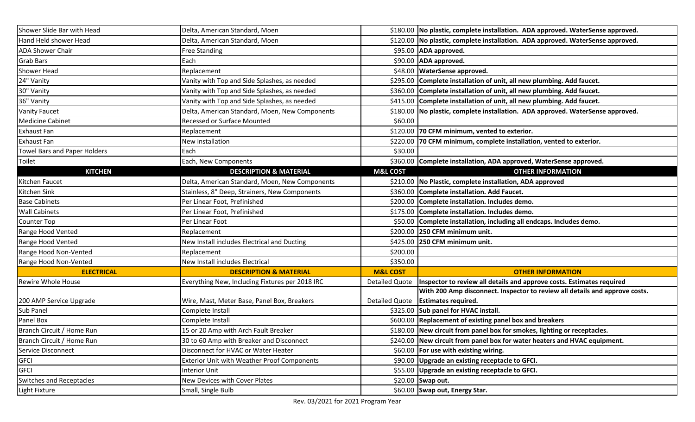| Shower Slide Bar with Head   | Delta, American Standard, Moen                     |                     | \$180.00 No plastic, complete installation. ADA approved. WaterSense approved.         |
|------------------------------|----------------------------------------------------|---------------------|----------------------------------------------------------------------------------------|
| Hand Held shower Head        | Delta, American Standard, Moen                     |                     | \$120.00   No plastic, complete installation. ADA approved. WaterSense approved.       |
| <b>ADA Shower Chair</b>      | <b>Free Standing</b>                               |                     | \$95.00 ADA approved.                                                                  |
| <b>Grab Bars</b>             | Each                                               |                     | \$90.00 ADA approved.                                                                  |
| <b>Shower Head</b>           | Replacement                                        |                     | \$48.00 WaterSense approved.                                                           |
| 24" Vanity                   | Vanity with Top and Side Splashes, as needed       |                     | \$295.00 Complete installation of unit, all new plumbing. Add faucet.                  |
| 30" Vanity                   | Vanity with Top and Side Splashes, as needed       |                     | \$360.00 Complete installation of unit, all new plumbing. Add faucet.                  |
| 36" Vanity                   | Vanity with Top and Side Splashes, as needed       |                     | \$415.00 Complete installation of unit, all new plumbing. Add faucet.                  |
| <b>Vanity Faucet</b>         | Delta, American Standard, Moen, New Components     |                     | \$180.00 No plastic, complete installation. ADA approved. WaterSense approved.         |
| <b>Medicine Cabinet</b>      | Recessed or Surface Mounted                        | \$60.00             |                                                                                        |
| <b>Exhaust Fan</b>           | Replacement                                        |                     | \$120.00 70 CFM minimum, vented to exterior.                                           |
| <b>Exhaust Fan</b>           | New installation                                   |                     | \$220.00 70 CFM minimum, complete installation, vented to exterior.                    |
| Towel Bars and Paper Holders | Each                                               | \$30.00             |                                                                                        |
| Toilet                       | Each, New Components                               |                     | \$360.00 Complete installation, ADA approved, WaterSense approved.                     |
| <b>KITCHEN</b>               | <b>DESCRIPTION &amp; MATERIAL</b>                  | <b>M&amp;L COST</b> | <b>OTHER INFORMATION</b>                                                               |
| Kitchen Faucet               | Delta, American Standard, Moen, New Components     |                     | \$210.00 No Plastic, complete installation, ADA approved                               |
| Kitchen Sink                 | Stainless, 8" Deep, Strainers, New Components      |                     | \$360.00 Complete installation. Add Faucet.                                            |
| <b>Base Cabinets</b>         | Per Linear Foot, Prefinished                       |                     | \$200.00 Complete installation. Includes demo.                                         |
| <b>Wall Cabinets</b>         | Per Linear Foot, Prefinished                       |                     | \$175.00 Complete installation. Includes demo.                                         |
| Counter Top                  | Per Linear Foot                                    |                     | \$50.00 Complete installation, including all endcaps. Includes demo.                   |
| Range Hood Vented            | Replacement                                        |                     | \$200.00 250 CFM minimum unit.                                                         |
| Range Hood Vented            | New Install includes Electrical and Ducting        |                     | \$425.00 250 CFM minimum unit.                                                         |
| Range Hood Non-Vented        | Replacement                                        | \$200.00            |                                                                                        |
| Range Hood Non-Vented        | New Install includes Electrical                    | \$350.00            |                                                                                        |
| <b>ELECTRICAL</b>            | <b>DESCRIPTION &amp; MATERIAL</b>                  | <b>M&amp;L COST</b> | <b>OTHER INFORMATION</b>                                                               |
| <b>Rewire Whole House</b>    | Everything New, Including Fixtures per 2018 IRC    |                     | Detailed Quote   Inspector to review all details and approve costs. Estimates required |
|                              |                                                    |                     | With 200 Amp disconnect. Inspector to review all details and approve costs.            |
| 200 AMP Service Upgrade      | Wire, Mast, Meter Base, Panel Box, Breakers        |                     | Detailed Quote   Estimates required.                                                   |
| Sub Panel                    | Complete Install                                   |                     | \$325.00 Sub panel for HVAC install.                                                   |
| Panel Box                    | Complete Install                                   |                     | \$600.00 Replacement of existing panel box and breakers                                |
| Branch Circuit / Home Run    | 15 or 20 Amp with Arch Fault Breaker               |                     | \$180.00 New circuit from panel box for smokes, lighting or receptacles.               |
| Branch Circuit / Home Run    | 30 to 60 Amp with Breaker and Disconnect           |                     | \$240.00 New circuit from panel box for water heaters and HVAC equipment.              |
| Service Disconnect           | Disconnect for HVAC or Water Heater                |                     | \$60.00 For use with existing wiring.                                                  |
| <b>GFCI</b>                  | <b>Exterior Unit with Weather Proof Components</b> |                     | \$90.00 Upgrade an existing receptacle to GFCI.                                        |
| <b>GFCI</b>                  | <b>Interior Unit</b>                               |                     | \$55.00 Upgrade an existing receptacle to GFCI.                                        |
| Switches and Receptacles     | New Devices with Cover Plates                      |                     | \$20.00 Swap out.                                                                      |
| Light Fixture                | Small, Single Bulb                                 |                     | \$60.00 Swap out, Energy Star.                                                         |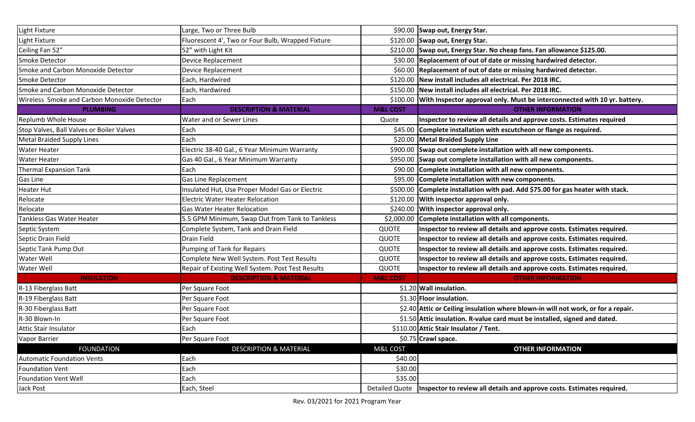| Light Fixture                               | Large, Two or Three Bulb                          |                     | \$90.00 Swap out, Energy Star.                                                          |
|---------------------------------------------|---------------------------------------------------|---------------------|-----------------------------------------------------------------------------------------|
| Light Fixture                               | Fluorescent 4', Two or Four Bulb, Wrapped Fixture |                     | \$120.00 Swap out, Energy Star.                                                         |
| Ceiling Fan 52"                             | 52" with Light Kit                                |                     | \$210.00 Swap out, Energy Star. No cheap fans. Fan allowance \$125.00.                  |
| Smoke Detector                              | Device Replacement                                |                     | \$30.00 Replacement of out of date or missing hardwired detector.                       |
| Smoke and Carbon Monoxide Detector          | Device Replacement                                |                     | \$60.00 Replacement of out of date or missing hardwired detector.                       |
| Smoke Detector                              | Each, Hardwired                                   |                     | \$120.00   New install includes all electrical. Per 2018 IRC.                           |
| Smoke and Carbon Monoxide Detector          | Each, Hardwired                                   |                     | \$150.00 New install includes all electrical. Per 2018 IRC.                             |
| Wireless Smoke and Carbon Monoxide Detector | Each                                              |                     | \$100.00 With Inspector approval only. Must be interconnected with 10 yr. battery.      |
| <b>PLUMBING</b>                             | <b>DESCRIPTION &amp; MATERIAL</b>                 | <b>M&amp;L COST</b> | <b>OTHER INFORMATION</b>                                                                |
| <b>Replumb Whole House</b>                  | Water and or Sewer Lines                          | Quote               | Inspector to review all details and approve costs. Estimates required                   |
| Stop Valves, Ball Valves or Boiler Valves   | Each                                              |                     | \$45.00 Complete installation with escutcheon or flange as required.                    |
| <b>Metal Braided Supply Lines</b>           | Each                                              |                     | \$20.00 Metal Braided Supply Line                                                       |
| <b>Water Heater</b>                         | Electric 38-40 Gal., 6 Year Minimum Warranty      |                     | \$900.00 Swap out complete installation with all new components.                        |
| <b>Water Heater</b>                         | Gas 40 Gal., 6 Year Minimum Warranty              |                     | \$950.00 Swap out complete installation with all new components.                        |
| <b>Thermal Expansion Tank</b>               | Each                                              |                     | \$90.00 Complete installation with all new components.                                  |
| Gas Line                                    | Gas Line Replacement                              |                     | \$95.00 Complete installation with new components.                                      |
| <b>Heater Hut</b>                           | Insulated Hut, Use Proper Model Gas or Electric   |                     | \$500.00 Complete installation with pad. Add \$75.00 for gas heater with stack.         |
| Relocate                                    | <b>Electric Water Heater Relocation</b>           |                     | \$120.00 With inspector approval only.                                                  |
| Relocate                                    | <b>Gas Water Heater Relocation</b>                |                     | \$240.00 With inspector approval only.                                                  |
| Tankless Gas Water Heater                   | 5.5 GPM Minimum, Swap Out from Tank to Tankless   |                     | \$2,000.00 Complete installation with all components.                                   |
| Septic System                               | Complete System, Tank and Drain Field             | <b>QUOTE</b>        | Inspector to review all details and approve costs. Estimates required.                  |
| Septic Drain Field                          | Drain Field                                       | <b>QUOTE</b>        | Inspector to review all details and approve costs. Estimates required.                  |
| Septic Tank Pump Out                        | Pumping of Tank for Repairs                       | <b>QUOTE</b>        | Inspector to review all details and approve costs. Estimates required.                  |
| Water Well                                  | Complete New Well System. Post Test Results       | QUOTE               | Inspector to review all details and approve costs. Estimates required.                  |
| Water Well                                  | Repair of Existing Well System. Post Test Results | <b>QUOTE</b>        | Inspector to review all details and approve costs. Estimates required.                  |
| <b>INSULATION</b>                           | <b>DESCRIPTION &amp; MATERIAL</b>                 | <b>M&amp;L COST</b> | <b>OTHER INFORMATION</b>                                                                |
| R-13 Fiberglass Batt                        | Per Square Foot                                   |                     | \$1.20 Wall insulation.                                                                 |
| R-19 Fiberglass Batt                        | Per Square Foot                                   |                     | \$1.30 Floor insulation.                                                                |
| R-30 Fiberglass Batt                        | Per Square Foot                                   |                     | \$2.40 Attic or Ceiling insulation where blown-in will not work, or for a repair.       |
| R-30 Blown-In                               | Per Square Foot                                   |                     | \$1.50 Attic insulation. R-value card must be installed, signed and dated.              |
| <b>Attic Stair Insulator</b>                | Each                                              |                     | \$110.00 Attic Stair Insulator / Tent.                                                  |
| Vapor Barrier                               | Per Square Foot                                   |                     | \$0.75 Crawl space.                                                                     |
| <b>FOUNDATION</b>                           | <b>DESCRIPTION &amp; MATERIAL</b>                 | M&L COST            | <b>OTHER INFORMATION</b>                                                                |
| <b>Automatic Foundation Vents</b>           | Each                                              | \$40.00             |                                                                                         |
| <b>Foundation Vent</b>                      | Each                                              | \$30.00             |                                                                                         |
| <b>Foundation Vent Well</b>                 | Each                                              | \$35.00             |                                                                                         |
| Jack Post                                   | Each, Steel                                       |                     | Detailed Quote   Inspector to review all details and approve costs. Estimates required. |
|                                             |                                                   |                     |                                                                                         |